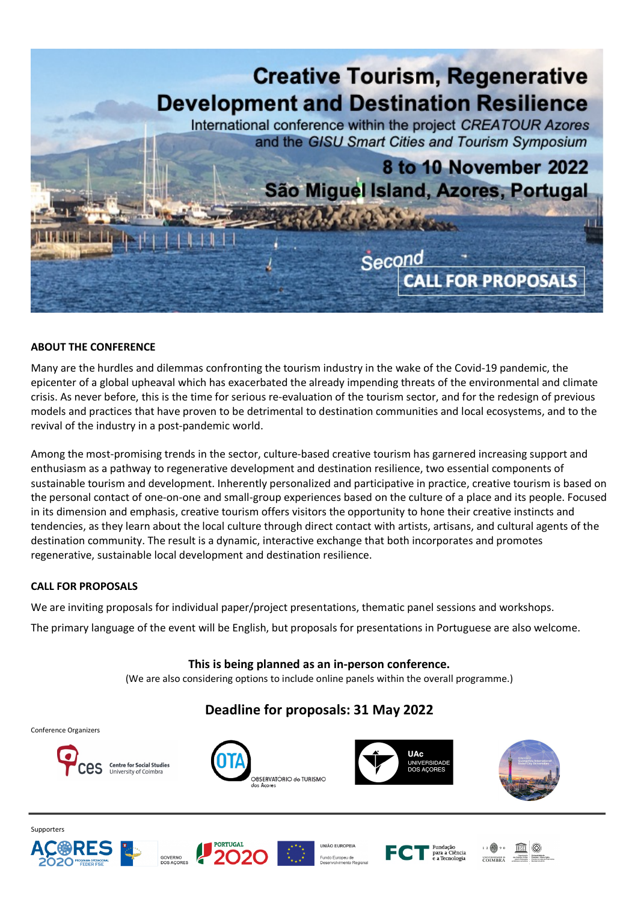

## **ABOUT THE CONFERENCE**

Many are the hurdles and dilemmas confronting the tourism industry in the wake of the Covid-19 pandemic, the epicenter of a global upheaval which has exacerbated the already impending threats of the environmental and climate crisis. As never before, this is the time for serious re-evaluation of the tourism sector, and for the redesign of previous models and practices that have proven to be detrimental to destination communities and local ecosystems, and to the revival of the industry in a post-pandemic world.

Among the most-promising trends in the sector, culture-based creative tourism has garnered increasing support and enthusiasm as a pathway to regenerative development and destination resilience, two essential components of sustainable tourism and development. Inherently personalized and participative in practice, creative tourism is based on the personal contact of one-on-one and small-group experiences based on the culture of a place and its people. Focused in its dimension and emphasis, creative tourism offers visitors the opportunity to hone their creative instincts and tendencies, as they learn about the local culture through direct contact with artists, artisans, and cultural agents of the destination community. The result is a dynamic, interactive exchange that both incorporates and promotes regenerative, sustainable local development and destination resilience.

## **CALL FOR PROPOSALS**

We are inviting proposals for individual paper/project presentations, thematic panel sessions and workshops.

The primary language of the event will be English, but proposals for presentations in Portuguese are also welcome.

## **This is being planned as an in-person conference.**

(We are also considering options to include online panels within the overall programme.)

## **Deadline for proposals: 31 May 2022**

Conference Organizers



















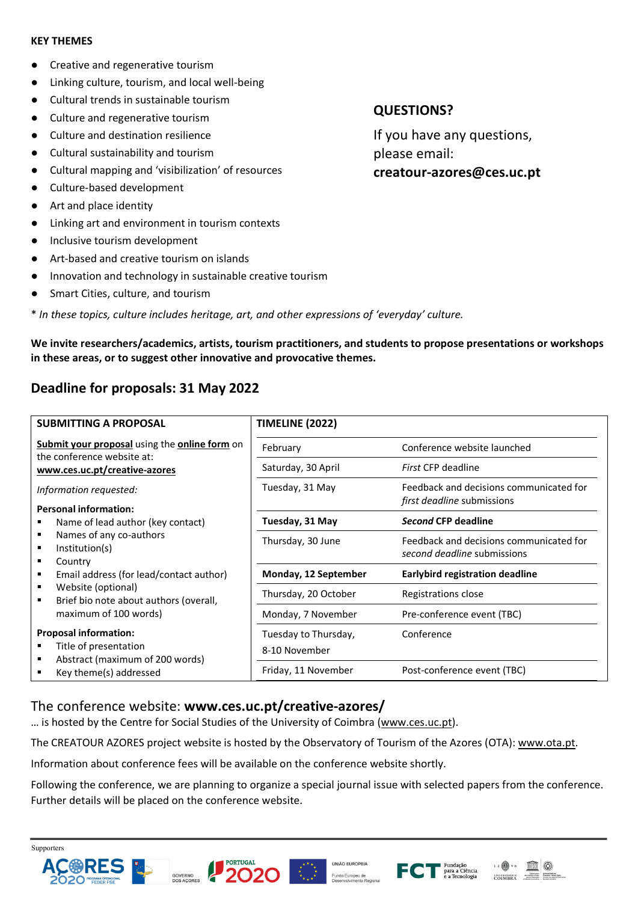## **KEY THEMES**

- Creative and regenerative tourism
- Linking culture, tourism, and local well-being
- Cultural trends in sustainable tourism
- Culture and regenerative tourism
- Culture and destination resilience
- Cultural sustainability and tourism
- Cultural mapping and 'visibilization' of resources
- Culture-based development
- Art and place identity
- Linking art and environment in tourism contexts
- Inclusive tourism development
- Art-based and creative tourism on islands
- Innovation and technology in sustainable creative tourism
- Smart Cities, culture, and tourism
- \* *In these topics, culture includes heritage, art, and other expressions of 'everyday' culture.*

**We invite researchers/academics, artists, tourism practitioners, and students to propose presentations or workshops in these areas, or to suggest other innovative and provocative themes.**

# **Deadline for proposals: 31 May 2022**

| <b>SUBMITTING A PROPOSAL</b>                                                                                                                        | <b>TIMELINE (2022)</b>                |                                                                        |
|-----------------------------------------------------------------------------------------------------------------------------------------------------|---------------------------------------|------------------------------------------------------------------------|
| Submit your proposal using the online form on<br>the conference website at:<br>www.ces.uc.pt/creative-azores                                        | February                              | Conference website launched                                            |
|                                                                                                                                                     | Saturday, 30 April                    | First CFP deadline                                                     |
| Information requested:                                                                                                                              | Tuesday, 31 May                       | Feedback and decisions communicated for                                |
| <b>Personal information:</b>                                                                                                                        |                                       | first deadline submissions                                             |
| Name of lead author (key contact)                                                                                                                   | Tuesday, 31 May                       | Second CFP deadline                                                    |
| Names of any co-authors<br>Institution(s)                                                                                                           | Thursday, 30 June                     | Feedback and decisions communicated for<br>second deadline submissions |
| Country<br>٠<br>Email address (for lead/contact author)                                                                                             | Monday, 12 September                  | <b>Earlybird registration deadline</b>                                 |
| Website (optional)<br>٠<br>Brief bio note about authors (overall,<br>maximum of 100 words)<br><b>Proposal information:</b><br>Title of presentation | Thursday, 20 October                  | Registrations close                                                    |
|                                                                                                                                                     | Monday, 7 November                    | Pre-conference event (TBC)                                             |
|                                                                                                                                                     | Tuesday to Thursday,<br>8-10 November | Conference                                                             |
| Abstract (maximum of 200 words)<br>Key theme(s) addressed                                                                                           | Friday, 11 November                   | Post-conference event (TBC)                                            |

## The conference website: **www.ces.uc.pt/creative-azores/**

… is hosted by the Centre for Social Studies of the University of Coimbra (www.ces.uc.pt).

The CREATOUR AZORES project website is hosted by the Observatory of Tourism of the Azores (OTA): www.ota.pt.

Information about conference fees will be available on the conference website shortly.

Following the conference, we are planning to organize a special journal issue with selected papers from the conference. Further details will be placed on the conference website.









# **QUESTIONS?**

If you have any questions, please email: **creatour-azores@ces.uc.pt**